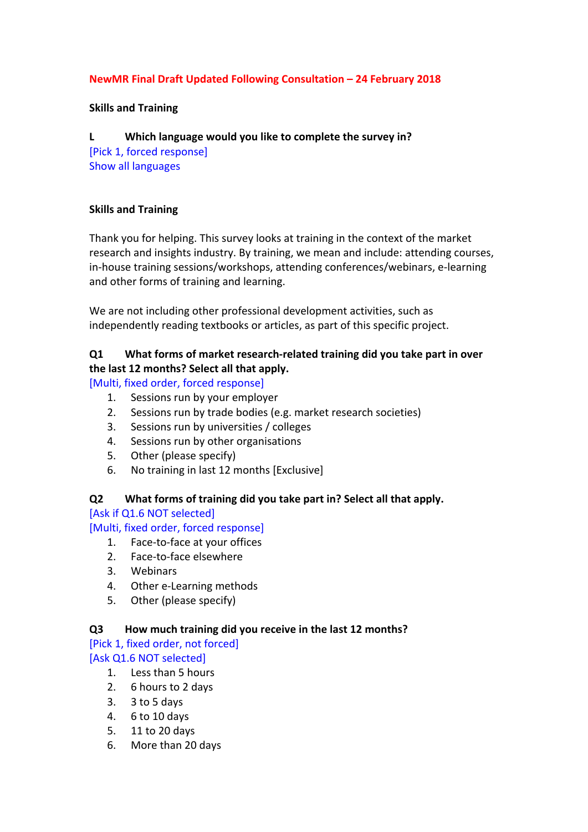## **NewMR Final Draft Updated Following Consultation – 24 February 2018**

### **Skills and Training**

### **L** Which language would you like to complete the survey in?

[Pick 1, forced response] Show all languages

### **Skills and Training**

Thank you for helping. This survey looks at training in the context of the market research and insights industry. By training, we mean and include: attending courses, in-house training sessions/workshops, attending conferences/webinars, e-learning and other forms of training and learning.

We are not including other professional development activities, such as independently reading textbooks or articles, as part of this specific project.

## **Q1** What forms of market research-related training did you take part in over **the last 12 months? Select all that apply.**

[Multi, fixed order, forced response]

- 1. Sessions run by your employer
- 2. Sessions run by trade bodies (e.g. market research societies)
- 3. Sessions run by universities / colleges
- 4. Sessions run by other organisations
- 5. Other (please specify)
- 6. No training in last 12 months [Exclusive]

# **Q2** What forms of training did you take part in? Select all that apply.

[Ask if Q1.6 NOT selected]

[Multi, fixed order, forced response]

- 1. Face-to-face at your offices
- 2. Face-to-face elsewhere
- 3. Webinars
- 4. Other e-Learning methods
- 5. Other (please specify)

#### **Q3 How much training did you receive in the last 12 months?**

[Pick 1, fixed order, not forced] [Ask Q1.6 NOT selected]

- 1. Less than 5 hours
- 2. 6 hours to 2 days
- $3.$  3 to 5 days
- 4. 6 to 10 days
- 5. 11 to 20 days
- 6. More than 20 days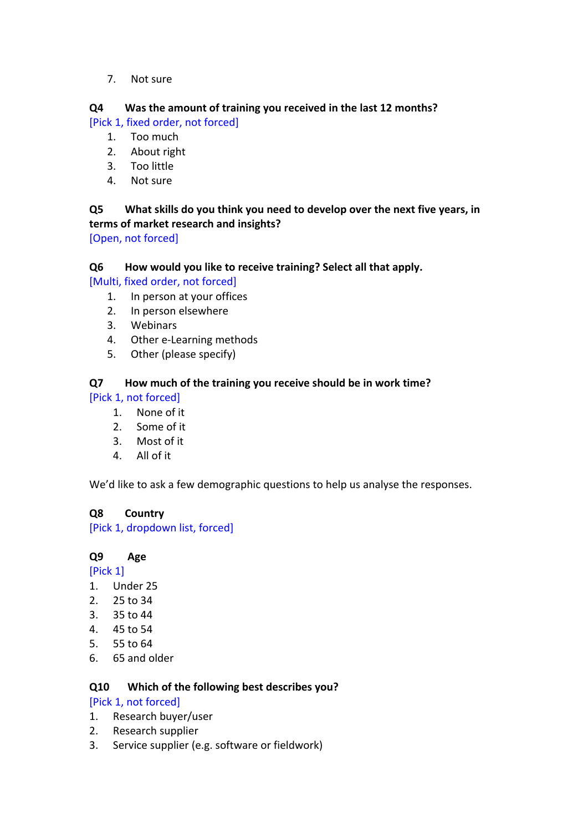7. Not sure

## **Q4** Was the amount of training you received in the last 12 months?

[Pick 1, fixed order, not forced]

- 1. Too much
- 2. About right
- 3. Too little
- 4. Not sure

## **Q5** What skills do you think you need to develop over the next five years, in terms of market research and insights?

[Open, not forced]

## **Q6 How would you like to receive training? Select all that apply.**

[Multi, fixed order, not forced]

- 1. In person at your offices
- 2. In person elsewhere
- 3. Webinars
- 4. Other e-Learning methods
- 5. Other (please specify)

## **Q7 How much of the training you receive should be in work time?**

[Pick 1, not forced]

- 1. None of it
- 2. Some of it
- 3. Most of it
- 4. All of it

We'd like to ask a few demographic questions to help us analyse the responses.

## **Q8 Country**

[Pick 1, dropdown list, forced]

## **Q9 Age**

- [Pick 1]
- 1. Under 25
- 2. 25 to 34
- 3. 35 to 44
- 4. 45 to 54
- 5. 55 to 64
- 6. 65 and older

## **Q10 Which of the following best describes you?**

[Pick 1, not forced]

- 1. Research buyer/user
- 2. Research supplier
- 3. Service supplier (e.g. software or fieldwork)